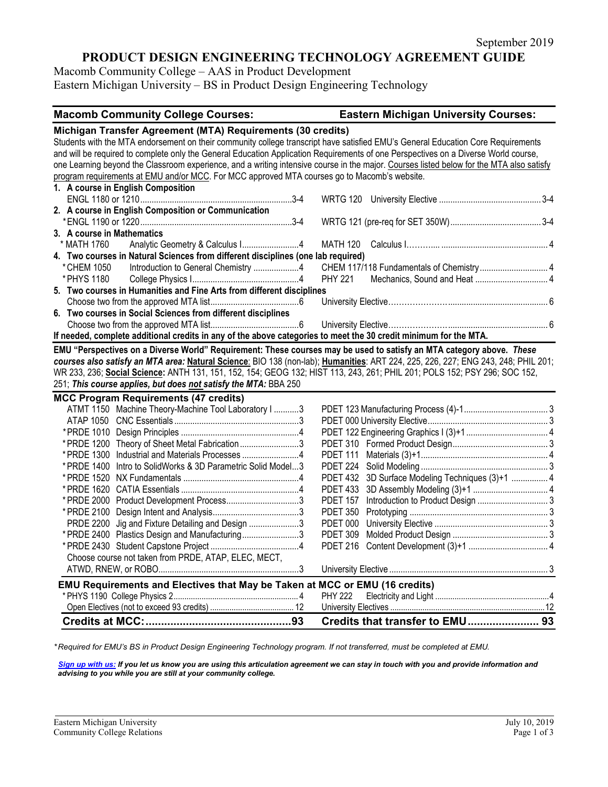# **PRODUCT DESIGN ENGINEERING TECHNOLOGY AGREEMENT GUIDE**

Macomb Community College – AAS in Product Development Eastern Michigan University – BS in Product Design Engineering Technology

| <b>Macomb Community College Courses:</b>                                                                                                                                                                                                                                                                                                                                                                                                                                                                                                                                           | <b>Eastern Michigan University Courses:</b>      |
|------------------------------------------------------------------------------------------------------------------------------------------------------------------------------------------------------------------------------------------------------------------------------------------------------------------------------------------------------------------------------------------------------------------------------------------------------------------------------------------------------------------------------------------------------------------------------------|--------------------------------------------------|
| Michigan Transfer Agreement (MTA) Requirements (30 credits)<br>Students with the MTA endorsement on their community college transcript have satisfied EMU's General Education Core Requirements<br>and will be required to complete only the General Education Application Requirements of one Perspectives on a Diverse World course,<br>one Learning beyond the Classroom experience, and a writing intensive course in the major. Courses listed below for the MTA also satisfy<br>program requirements at EMU and/or MCC. For MCC approved MTA courses go to Macomb's website. |                                                  |
| 1. A course in English Composition                                                                                                                                                                                                                                                                                                                                                                                                                                                                                                                                                 |                                                  |
|                                                                                                                                                                                                                                                                                                                                                                                                                                                                                                                                                                                    |                                                  |
| 2. A course in English Composition or Communication                                                                                                                                                                                                                                                                                                                                                                                                                                                                                                                                |                                                  |
|                                                                                                                                                                                                                                                                                                                                                                                                                                                                                                                                                                                    |                                                  |
| 3. A course in Mathematics                                                                                                                                                                                                                                                                                                                                                                                                                                                                                                                                                         |                                                  |
| * MATH 1760<br>Analytic Geometry & Calculus I4                                                                                                                                                                                                                                                                                                                                                                                                                                                                                                                                     | MATH 120                                         |
| 4. Two courses in Natural Sciences from different disciplines (one lab required)                                                                                                                                                                                                                                                                                                                                                                                                                                                                                                   |                                                  |
| Introduction to General Chemistry 4<br>* CHEM 1050                                                                                                                                                                                                                                                                                                                                                                                                                                                                                                                                 | CHEM 117/118 Fundamentals of Chemistry 4         |
| * PHYS 1180                                                                                                                                                                                                                                                                                                                                                                                                                                                                                                                                                                        | <b>PHY 221</b>                                   |
| 5. Two courses in Humanities and Fine Arts from different disciplines                                                                                                                                                                                                                                                                                                                                                                                                                                                                                                              |                                                  |
|                                                                                                                                                                                                                                                                                                                                                                                                                                                                                                                                                                                    |                                                  |
| 6. Two courses in Social Sciences from different disciplines                                                                                                                                                                                                                                                                                                                                                                                                                                                                                                                       |                                                  |
|                                                                                                                                                                                                                                                                                                                                                                                                                                                                                                                                                                                    |                                                  |
| If needed, complete additional credits in any of the above categories to meet the 30 credit minimum for the MTA.                                                                                                                                                                                                                                                                                                                                                                                                                                                                   |                                                  |
| EMU "Perspectives on a Diverse World" Requirement: These courses may be used to satisfy an MTA category above. These                                                                                                                                                                                                                                                                                                                                                                                                                                                               |                                                  |
| courses also satisfy an MTA area: Natural Science: BIO 138 (non-lab); Humanities: ART 224, 225, 226, 227; ENG 243, 248; PHIL 201;                                                                                                                                                                                                                                                                                                                                                                                                                                                  |                                                  |
| WR 233, 236; Social Science: ANTH 131, 151, 152, 154; GEOG 132; HIST 113, 243, 261; PHIL 201; POLS 152; PSY 296; SOC 152,                                                                                                                                                                                                                                                                                                                                                                                                                                                          |                                                  |
| 251; This course applies, but does not satisfy the MTA: BBA 250                                                                                                                                                                                                                                                                                                                                                                                                                                                                                                                    |                                                  |
| <b>MCC Program Requirements (47 credits)</b>                                                                                                                                                                                                                                                                                                                                                                                                                                                                                                                                       |                                                  |
| ATMT 1150 Machine Theory-Machine Tool Laboratory I 3                                                                                                                                                                                                                                                                                                                                                                                                                                                                                                                               |                                                  |
|                                                                                                                                                                                                                                                                                                                                                                                                                                                                                                                                                                                    |                                                  |
|                                                                                                                                                                                                                                                                                                                                                                                                                                                                                                                                                                                    |                                                  |
| * PRDE 1200 Theory of Sheet Metal Fabrication3                                                                                                                                                                                                                                                                                                                                                                                                                                                                                                                                     |                                                  |
| * PRDE 1300 Industrial and Materials Processes 4                                                                                                                                                                                                                                                                                                                                                                                                                                                                                                                                   |                                                  |
| * PRDE 1400 Intro to SolidWorks & 3D Parametric Solid Model3                                                                                                                                                                                                                                                                                                                                                                                                                                                                                                                       |                                                  |
|                                                                                                                                                                                                                                                                                                                                                                                                                                                                                                                                                                                    | PDET 432 3D Surface Modeling Techniques (3)+1  4 |
|                                                                                                                                                                                                                                                                                                                                                                                                                                                                                                                                                                                    |                                                  |
| * PRDE 2000 Product Development Process3                                                                                                                                                                                                                                                                                                                                                                                                                                                                                                                                           |                                                  |
|                                                                                                                                                                                                                                                                                                                                                                                                                                                                                                                                                                                    | <b>PDET 350</b>                                  |
| PRDE 2200 Jig and Fixture Detailing and Design 3                                                                                                                                                                                                                                                                                                                                                                                                                                                                                                                                   | PDET 000                                         |
| * PRDE 2400 Plastics Design and Manufacturing3                                                                                                                                                                                                                                                                                                                                                                                                                                                                                                                                     | <b>PDET 309</b>                                  |
|                                                                                                                                                                                                                                                                                                                                                                                                                                                                                                                                                                                    |                                                  |
| Choose course not taken from PRDE, ATAP, ELEC, MECT,                                                                                                                                                                                                                                                                                                                                                                                                                                                                                                                               |                                                  |
|                                                                                                                                                                                                                                                                                                                                                                                                                                                                                                                                                                                    |                                                  |
| EMU Requirements and Electives that May be Taken at MCC or EMU (16 credits)                                                                                                                                                                                                                                                                                                                                                                                                                                                                                                        |                                                  |
|                                                                                                                                                                                                                                                                                                                                                                                                                                                                                                                                                                                    | <b>PHY 222</b>                                   |
|                                                                                                                                                                                                                                                                                                                                                                                                                                                                                                                                                                                    |                                                  |
|                                                                                                                                                                                                                                                                                                                                                                                                                                                                                                                                                                                    |                                                  |

*\* Required for EMU's BS in Product Design Engineering Technology program. If not transferred, must be completed at EMU.* 

*[Sign up with us:](https://www.emich.edu/ccr/articulation-agreements/signup.php) If you let us know you are using this articulation agreement we can stay in touch with you and provide information and advising to you while you are still at your community college.*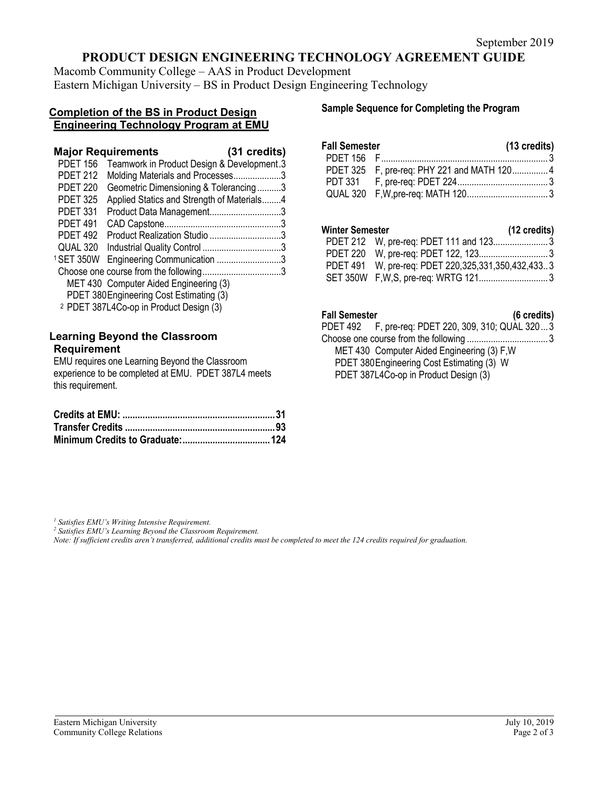# **PRODUCT DESIGN ENGINEERING TECHNOLOGY AGREEMENT GUIDE**

Macomb Community College – AAS in Product Development Eastern Michigan University – BS in Product Design Engineering Technology

## **Completion of the BS in Product Design Engineering Technology Program at EMU**

|                 | <b>Major Requirements</b><br>(31 credits)          |  |
|-----------------|----------------------------------------------------|--|
| <b>PDET 156</b> | Teamwork in Product Design & Development.3         |  |
| <b>PDET 212</b> | Molding Materials and Processes3                   |  |
| <b>PDET 220</b> | Geometric Dimensioning & Tolerancing3              |  |
| <b>PDET 325</b> | Applied Statics and Strength of Materials4         |  |
| <b>PDET 331</b> | Product Data Management3                           |  |
| <b>PDET 491</b> |                                                    |  |
| <b>PDET 492</b> | Product Realization Studio 3                       |  |
| QUAL 320        |                                                    |  |
| 1 SET 350W      | Engineering Communication 3                        |  |
|                 |                                                    |  |
|                 | MET 430 Computer Aided Engineering (3)             |  |
|                 | PDET 380 Engineering Cost Estimating (3)           |  |
|                 | <sup>2</sup> PDET 387L4Co-op in Product Design (3) |  |

## **Learning Beyond the Classroom Requirement**

EMU requires one Learning Beyond the Classroom experience to be completed at EMU. PDET 387L4 meets this requirement.

**Sample Sequence for Completing the Program**

| <b>Fall Semester</b> |                                            | $(13 \text{ credits})$ |
|----------------------|--------------------------------------------|------------------------|
|                      |                                            |                        |
|                      | PDET 325 F, pre-req: PHY 221 and MATH 1204 |                        |
|                      |                                            |                        |
|                      |                                            |                        |

## **Winter Semester (12 credits)**

| .                                                  |
|----------------------------------------------------|
| PDET 212 W, pre-req: PDET 111 and 1233             |
|                                                    |
| PDET 491 W, pre-req: PDET 220,325,331,350,432,4333 |
|                                                    |
|                                                    |

#### **Fall Semester (6 credits)**

| PDET 492 F, pre-req: PDET 220, 309, 310; QUAL 3203 |  |
|----------------------------------------------------|--|
|                                                    |  |
| MET 430 Computer Aided Engineering (3) F, W        |  |
| PDET 380 Engineering Cost Estimating (3) W         |  |
| PDET 387L4Co-op in Product Design (3)              |  |

*<sup>1</sup> Satisfies EMU's Writing Intensive Requirement.*

*<sup>2</sup> Satisfies EMU's Learning Beyond the Classroom Requirement.*

*Note: If sufficient credits aren't transferred, additional credits must be completed to meet the 124 credits required for graduation.*